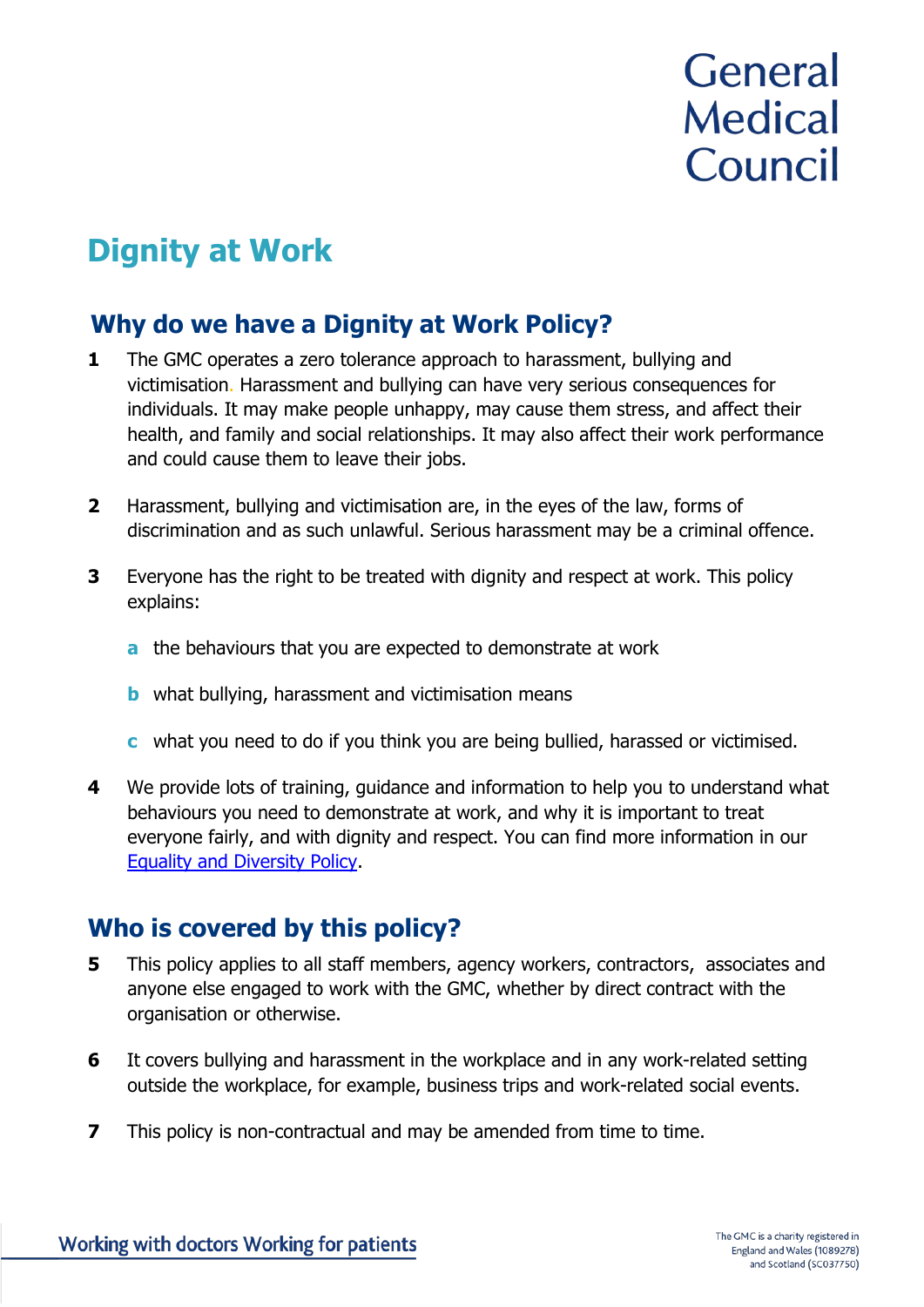# General **Medical** Council

## **Dignity at Work**

## **Why do we have a Dignity at Work Policy?**

- **1** The GMC operates a zero tolerance approach to harassment, bullying and victimisation. Harassment and bullying can have very serious consequences for individuals. It may make people unhappy, may cause them stress, and affect their health, and family and social relationships. It may also affect their work performance and could cause them to leave their jobs.
- **2** Harassment, bullying and victimisation are, in the eyes of the law, forms of discrimination and as such unlawful. Serious harassment may be a criminal offence.
- **3** Everyone has the right to be treated with dignity and respect at work. This policy explains:
	- **a** the behaviours that you are expected to demonstrate at work
	- **b** what bullying, harassment and victimisation means
	- **c** what you need to do if you think you are being bullied, harassed or victimised.
- **4** We provide lots of training, guidance and information to help you to understand what behaviours you need to demonstrate at work, and why it is important to treat everyone fairly, and with dignity and respect. You can find more information in our [Equality and Diversity Policy.](http://intranet/cps/rde/xchg/SID-387201AC-4EE51908/dev_intranet/hs.xsl/367.htm)

## **Who is covered by this policy?**

- **5** This policy applies to all staff members, agency workers, contractors, associates and anyone else engaged to work with the GMC, whether by direct contract with the organisation or otherwise.
- **6** It covers bullying and harassment in the workplace and in any work-related setting outside the workplace, for example, business trips and work-related social events.
- **7** This policy is non-contractual and may be amended from time to time.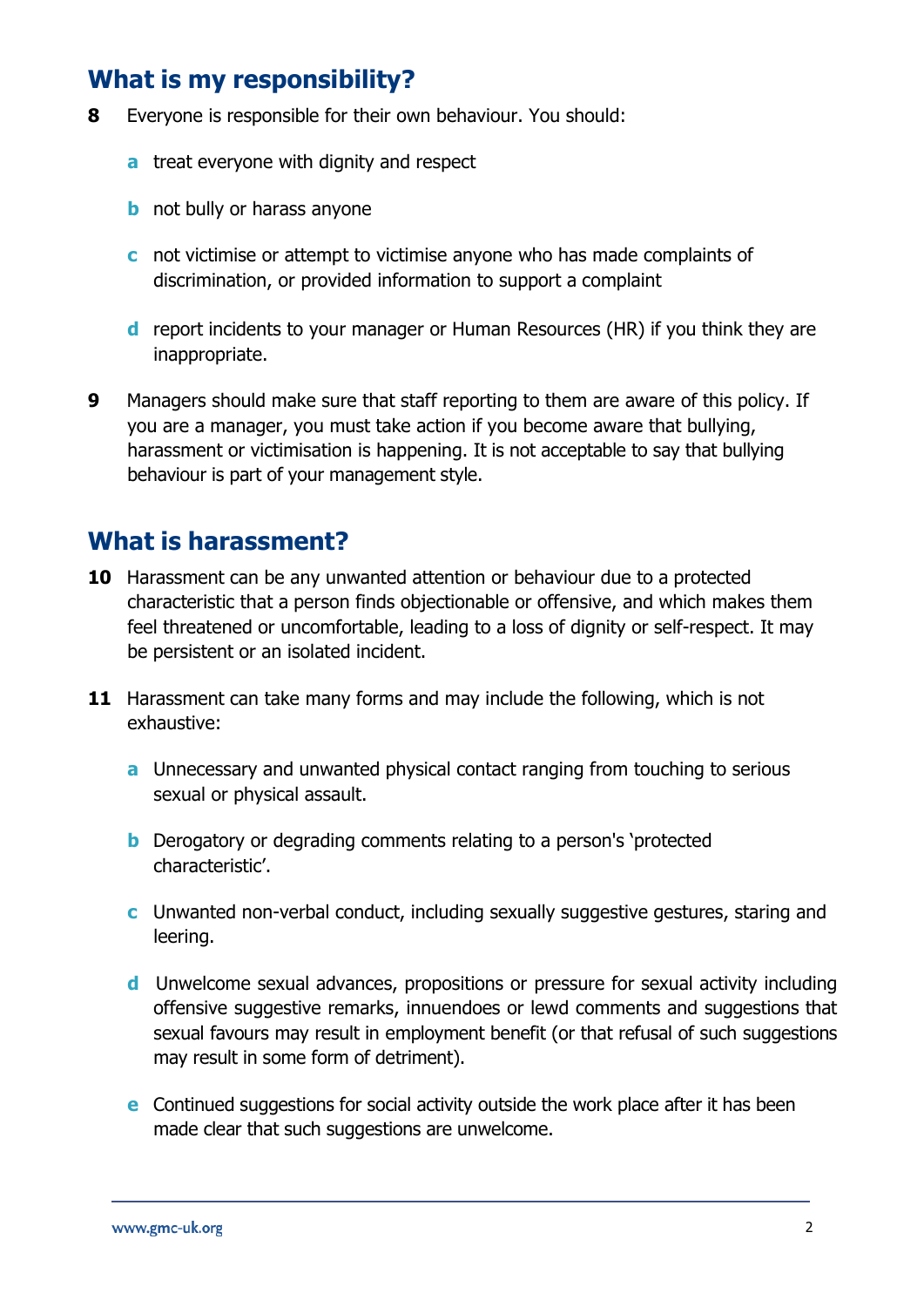## **What is my responsibility?**

- **8** Everyone is responsible for their own behaviour. You should:
	- **a** treat everyone with dignity and respect
	- **b** not bully or harass anyone
	- **c** not victimise or attempt to victimise anyone who has made complaints of discrimination, or provided information to support a complaint
	- **d** report incidents to your manager or Human Resources (HR) if you think they are inappropriate.
- **9** Managers should make sure that staff reporting to them are aware of this policy. If you are a manager, you must take action if you become aware that bullying, harassment or victimisation is happening. It is not acceptable to say that bullying behaviour is part of your management style.

### **What is harassment?**

- **10** Harassment can be any unwanted attention or behaviour due to a protected characteristic that a person finds objectionable or offensive, and which makes them feel threatened or uncomfortable, leading to a loss of dignity or self-respect. It may be persistent or an isolated incident.
- **11** Harassment can take many forms and may include the following, which is not exhaustive:
	- **a** Unnecessary and unwanted physical contact ranging from touching to serious sexual or physical assault.
	- **b** Derogatory or degrading comments relating to a person's 'protected characteristic'.
	- **c** Unwanted non-verbal conduct, including sexually suggestive gestures, staring and leering.
	- **d** Unwelcome sexual advances, propositions or pressure for sexual activity including offensive suggestive remarks, innuendoes or lewd comments and suggestions that sexual favours may result in employment benefit (or that refusal of such suggestions may result in some form of detriment).
	- **e** Continued suggestions for social activity outside the work place after it has been made clear that such suggestions are unwelcome.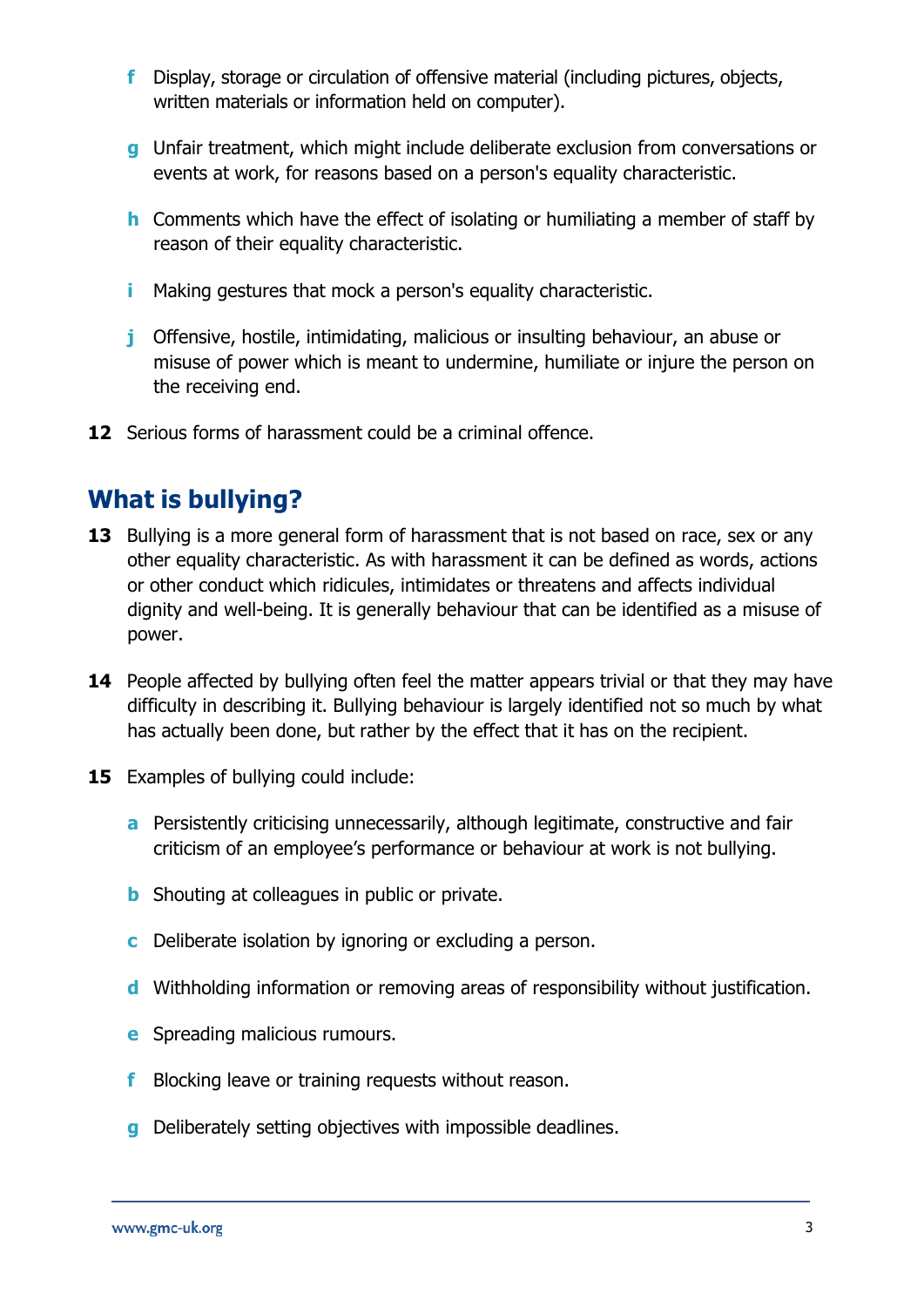- **f** Display, storage or circulation of offensive material (including pictures, objects, written materials or information held on computer).
- **g** Unfair treatment, which might include deliberate exclusion from conversations or events at work, for reasons based on a person's equality characteristic.
- **h** Comments which have the effect of isolating or humiliating a member of staff by reason of their equality characteristic.
- **i** Making gestures that mock a person's equality characteristic.
- **j** Offensive, hostile, intimidating, malicious or insulting behaviour, an abuse or misuse of power which is meant to undermine, humiliate or injure the person on the receiving end.
- **12** Serious forms of harassment could be a criminal offence.

## **What is bullying?**

- **13** Bullying is a more general form of harassment that is not based on race, sex or any other equality characteristic. As with harassment it can be defined as words, actions or other conduct which ridicules, intimidates or threatens and affects individual dignity and well-being. It is generally behaviour that can be identified as a misuse of power.
- **14** People affected by bullying often feel the matter appears trivial or that they may have difficulty in describing it. Bullying behaviour is largely identified not so much by what has actually been done, but rather by the effect that it has on the recipient.
- **15** Examples of bullying could include:
	- **a** Persistently criticising unnecessarily, although legitimate, constructive and fair criticism of an employee's performance or behaviour at work is not bullying.
	- **b** Shouting at colleagues in public or private.
	- **c** Deliberate isolation by ignoring or excluding a person.
	- **d** Withholding information or removing areas of responsibility without justification.
	- **e** Spreading malicious rumours.
	- **f** Blocking leave or training requests without reason.
	- **g** Deliberately setting objectives with impossible deadlines.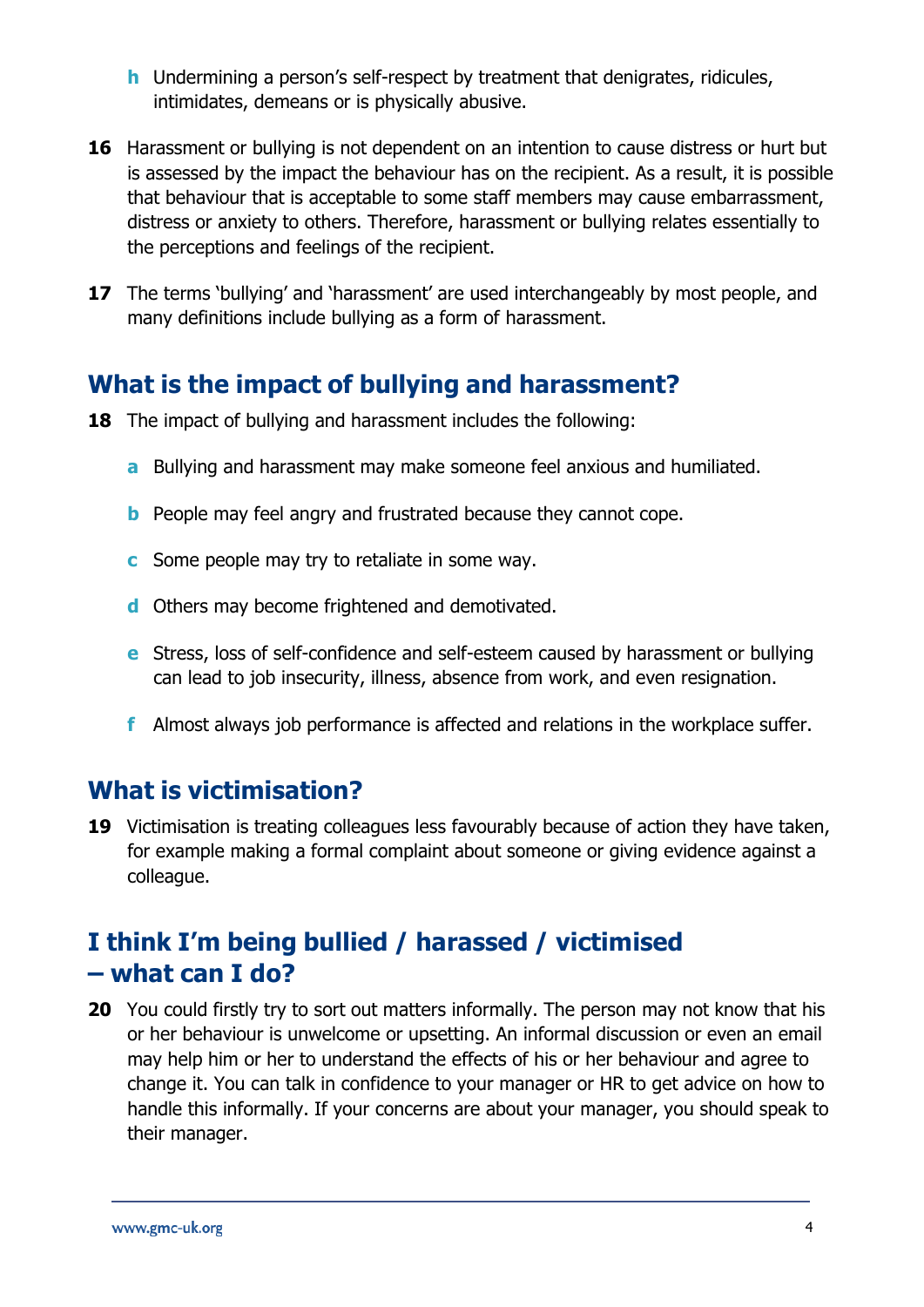- **h** Undermining a person's self-respect by treatment that denigrates, ridicules, intimidates, demeans or is physically abusive.
- **16** Harassment or bullying is not dependent on an intention to cause distress or hurt but is assessed by the impact the behaviour has on the recipient. As a result, it is possible that behaviour that is acceptable to some staff members may cause embarrassment, distress or anxiety to others. Therefore, harassment or bullying relates essentially to the perceptions and feelings of the recipient.
- **17** The terms 'bullying' and 'harassment' are used interchangeably by most people, and many definitions include bullying as a form of harassment.

## **What is the impact of bullying and harassment?**

- **18** The impact of bullying and harassment includes the following:
	- **a** Bullying and harassment may make someone feel anxious and humiliated.
	- **b** People may feel angry and frustrated because they cannot cope.
	- **c** Some people may try to retaliate in some way.
	- **d** Others may become frightened and demotivated.
	- **e** Stress, loss of self-confidence and self-esteem caused by harassment or bullying can lead to job insecurity, illness, absence from work, and even resignation.
	- **f** Almost always job performance is affected and relations in the workplace suffer.

## **What is victimisation?**

**19** Victimisation is treating colleagues less favourably because of action they have taken, for example making a formal complaint about someone or giving evidence against a colleague.

## **I think I'm being bullied / harassed / victimised – what can I do?**

**20** You could firstly try to sort out matters informally. The person may not know that his or her behaviour is unwelcome or upsetting. An informal discussion or even an email may help him or her to understand the effects of his or her behaviour and agree to change it. You can talk in confidence to your manager or HR to get advice on how to handle this informally. If your concerns are about your manager, you should speak to their manager.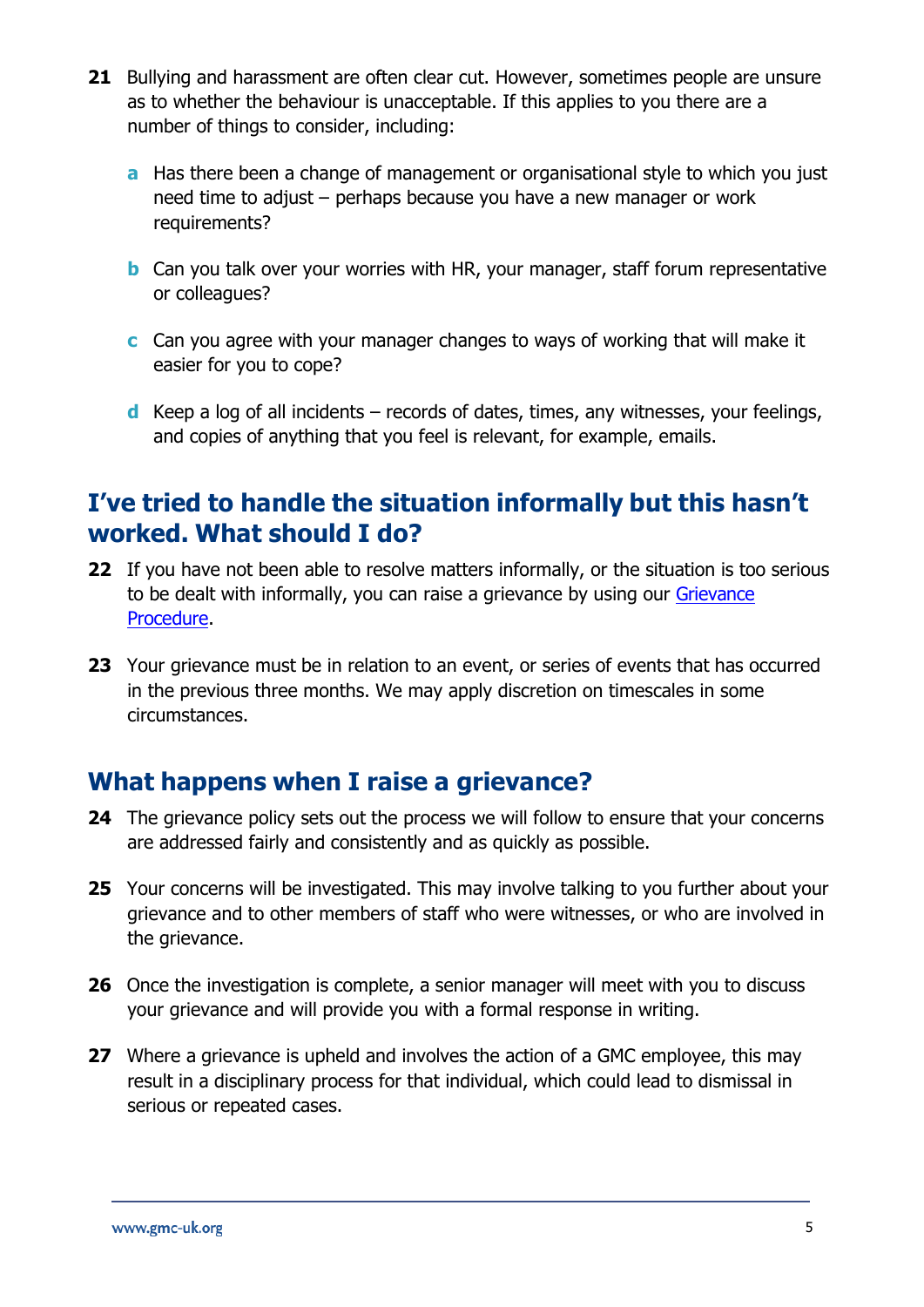- **21** Bullying and harassment are often clear cut. However, sometimes people are unsure as to whether the behaviour is unacceptable. If this applies to you there are a number of things to consider, including:
	- **a** Has there been a change of management or organisational style to which you just need time to adjust – perhaps because you have a new manager or work requirements?
	- **b** Can you talk over your worries with HR, your manager, staff forum representative or colleagues?
	- **c** Can you agree with your manager changes to ways of working that will make it easier for you to cope?
	- **d** Keep a log of all incidents records of dates, times, any witnesses, your feelings, and copies of anything that you feel is relevant, for example, emails.

## **I've tried to handle the situation informally but this hasn't worked. What should I do?**

- **22** If you have not been able to resolve matters informally, or the situation is too serious to be dealt with informally, you can raise a grievance by using our [Grievance](http://intranet/cps/rde/xchg/SID-DFC5C2A1-AE9F1263/dev_intranet/hs.xsl/386.htm) [Procedure.](http://intranet/cps/rde/xchg/SID-DFC5C2A1-AE9F1263/dev_intranet/hs.xsl/386.htm)
- **23** Your grievance must be in relation to an event, or series of events that has occurred in the previous three months. We may apply discretion on timescales in some circumstances.

## **What happens when I raise a grievance?**

- **24** The grievance policy sets out the process we will follow to ensure that your concerns are addressed fairly and consistently and as quickly as possible.
- **25** Your concerns will be investigated. This may involve talking to you further about your grievance and to other members of staff who were witnesses, or who are involved in the grievance.
- **26** Once the investigation is complete, a senior manager will meet with you to discuss your grievance and will provide you with a formal response in writing.
- **27** Where a grievance is upheld and involves the action of a GMC employee, this may result in a disciplinary process for that individual, which could lead to dismissal in serious or repeated cases.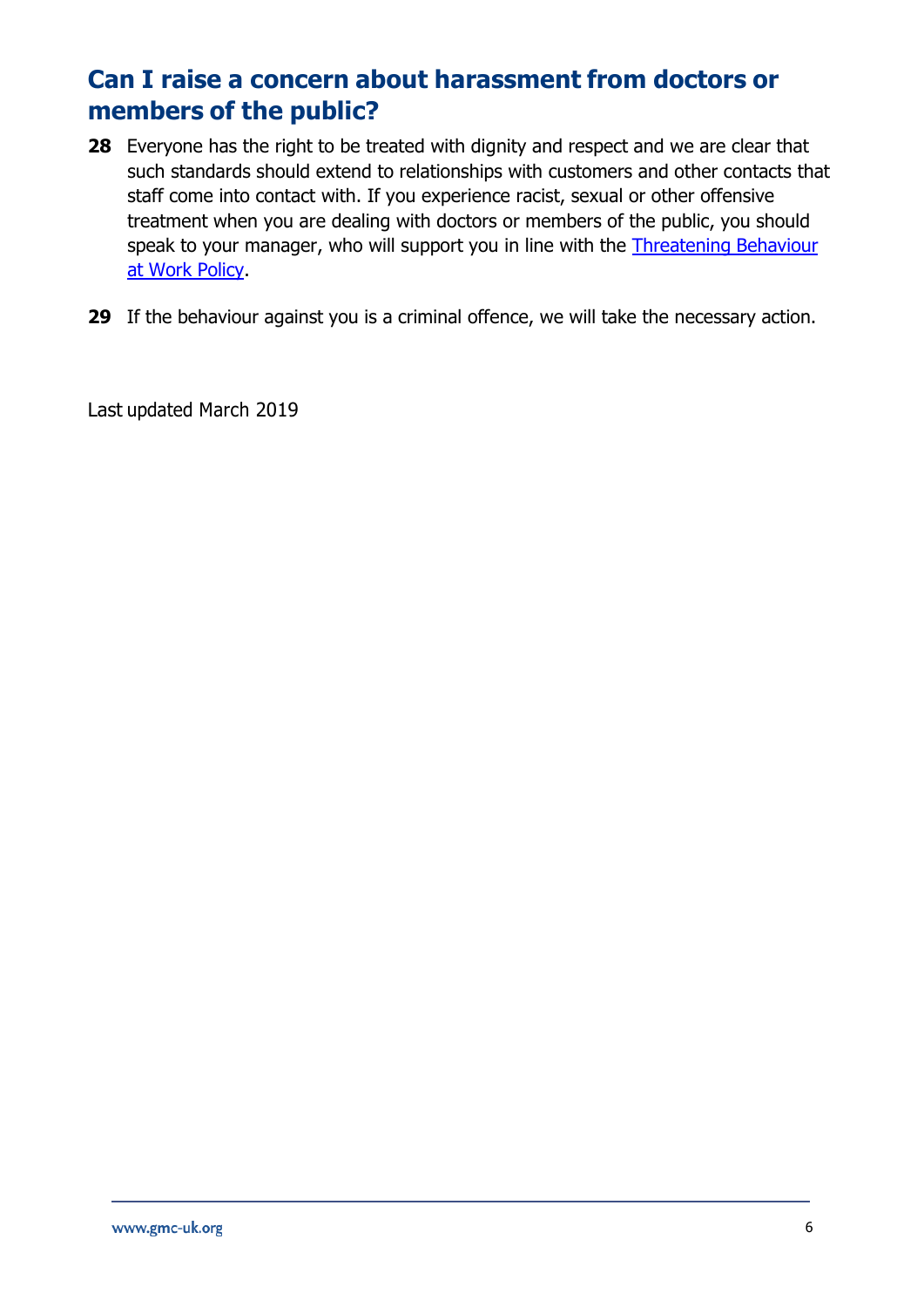## **Can I raise a concern about harassment from doctors or members of the public?**

- **28** Everyone has the right to be treated with dignity and respect and we are clear that such standards should extend to relationships with customers and other contacts that staff come into contact with. If you experience racist, sexual or other offensive treatment when you are dealing with doctors or members of the public, you should speak to your manager, who will support you in line with the [Threatening](http://intranet/cps/rde/xchg/SID-BC3ABCDF-F9737832/dev_intranet/hs.xsl/5444.htm) Behaviour at [Work Policy.](http://intranet/cps/rde/xchg/SID-BC3ABCDF-F9737832/dev_intranet/hs.xsl/5444.htm)
- **29** If the behaviour against you is a criminal offence, we will take the necessary action.

Last updated March 2019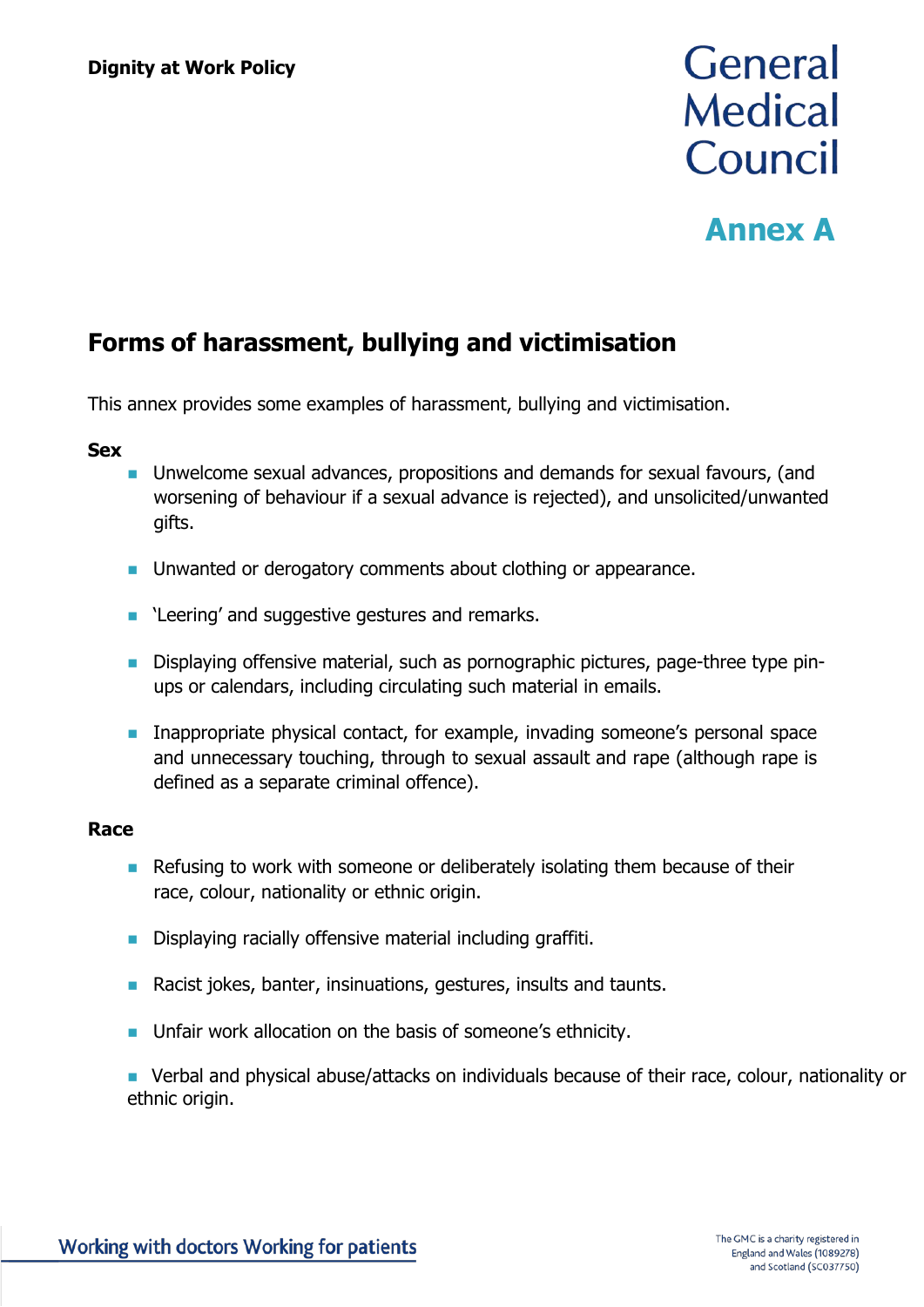# General **Medical** Council

## **Annex A**

## **Forms of harassment, bullying and victimisation**

This annex provides some examples of harassment, bullying and victimisation.

#### **Sex**

- Unwelcome sexual advances, propositions and demands for sexual favours, (and worsening of behaviour if a sexual advance is rejected), and unsolicited/unwanted gifts.
- Unwanted or derogatory comments about clothing or appearance.
- 'Leering' and suggestive gestures and remarks.
- **■** Displaying offensive material, such as pornographic pictures, page-three type pinups or calendars, including circulating such material in emails.
- **■** Inappropriate physical contact, for example, invading someone's personal space and unnecessary touching, through to sexual assault and rape (although rape is defined as a separate criminal offence).

### **Race**

- Refusing to work with someone or deliberately isolating them because of their race, colour, nationality or ethnic origin.
- Displaying racially offensive material including graffiti.
- Racist jokes, banter, insinuations, gestures, insults and taunts.
- Unfair work allocation on the basis of someone's ethnicity.
- Verbal and physical abuse/attacks on individuals because of their race, colour, nationality or ethnic origin.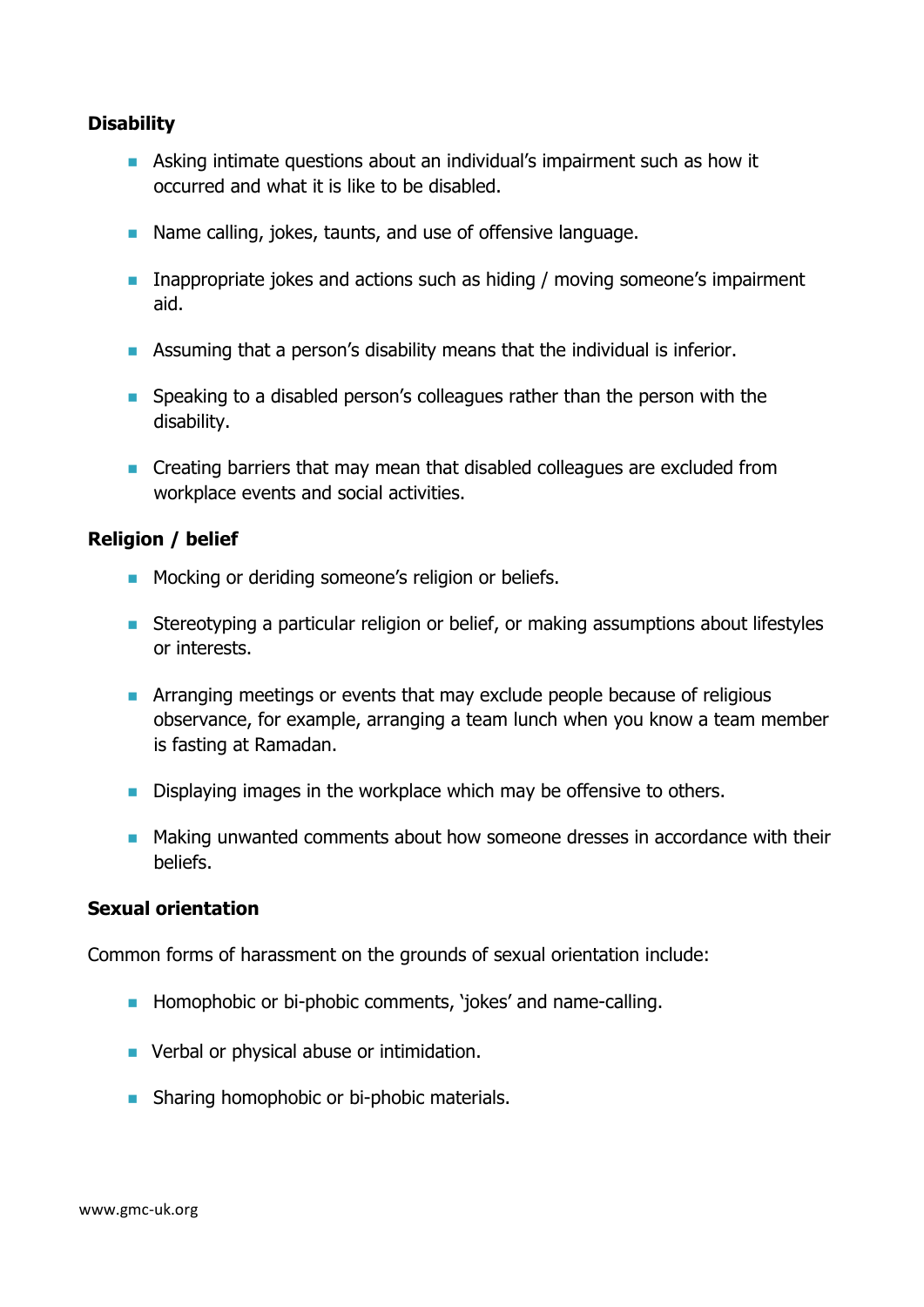### **Disability**

- Asking intimate questions about an individual's impairment such as how it occurred and what it is like to be disabled.
- Name calling, jokes, taunts, and use of offensive language.
- Inappropriate jokes and actions such as hiding / moving someone's impairment aid.
- Assuming that a person's disability means that the individual is inferior.
- Speaking to a disabled person's colleagues rather than the person with the disability.
- Creating barriers that may mean that disabled colleagues are excluded from workplace events and social activities.

#### **Religion / belief**

- Mocking or deriding someone's religion or beliefs.
- Stereotyping a particular religion or belief, or making assumptions about lifestyles or interests.
- **EXP** Arranging meetings or events that may exclude people because of religious observance, for example, arranging a team lunch when you know a team member is fasting at Ramadan.
- Displaying images in the workplace which may be offensive to others.
- Making unwanted comments about how someone dresses in accordance with their beliefs.

### **Sexual orientation**

Common forms of harassment on the grounds of sexual orientation include:

- Homophobic or bi-phobic comments, 'jokes' and name-calling.
- Verbal or physical abuse or intimidation.
- Sharing homophobic or bi-phobic materials.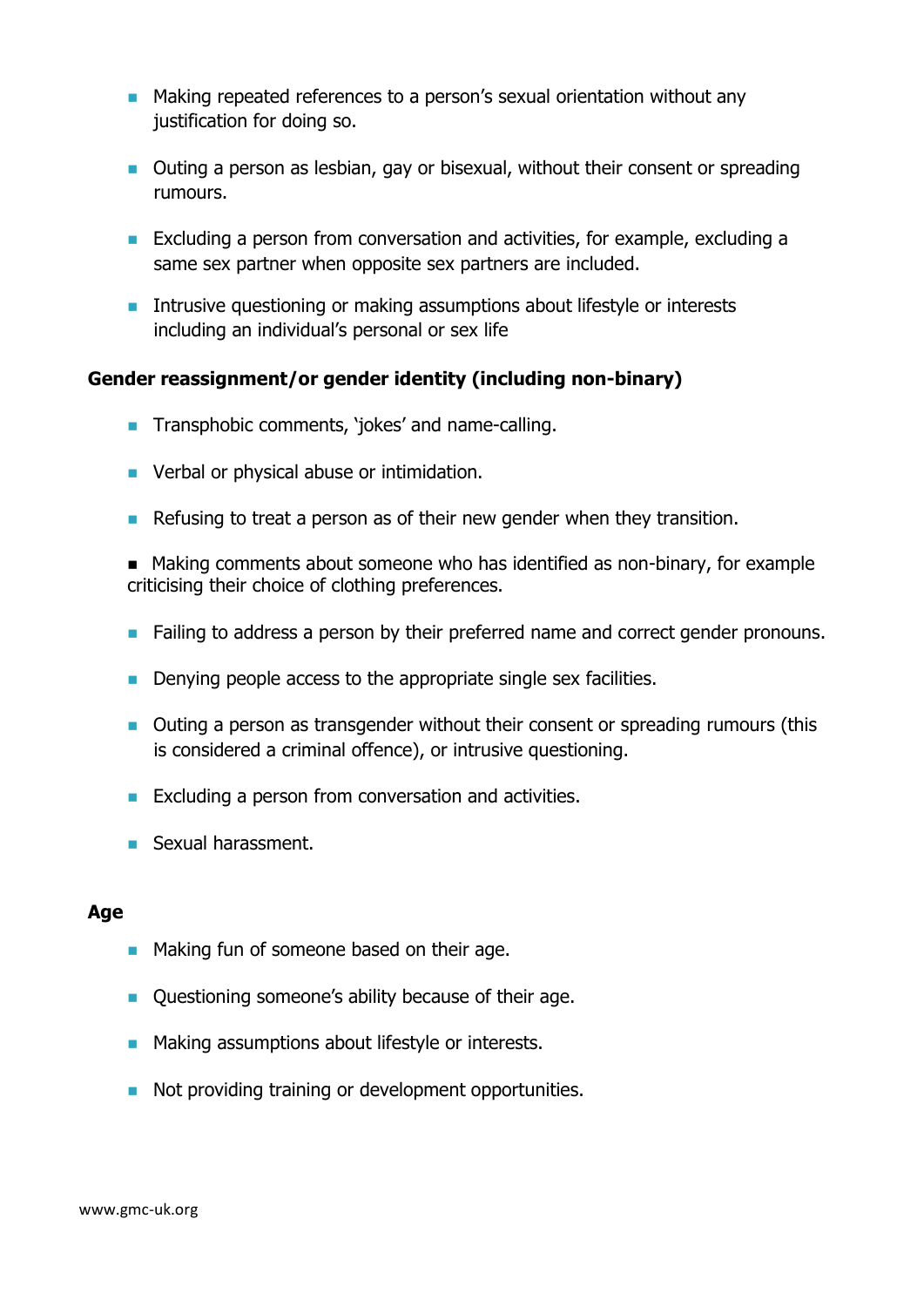- Making repeated references to a person's sexual orientation without any justification for doing so.
- Outing a person as lesbian, gay or bisexual, without their consent or spreading rumours.
- Excluding a person from conversation and activities, for example, excluding a same sex partner when opposite sex partners are included.
- Intrusive questioning or making assumptions about lifestyle or interests including an individual's personal or sex life

### **Gender reassignment/or gender identity (including non-binary)**

- Transphobic comments, 'jokes' and name-calling.
- Verbal or physical abuse or intimidation.
- Refusing to treat a person as of their new gender when they transition.
- Making comments about someone who has identified as non-binary, for example criticising their choice of clothing preferences.
- Failing to address a person by their preferred name and correct gender pronouns.
- Denying people access to the appropriate single sex facilities.
- Outing a person as transgender without their consent or spreading rumours (this is considered a criminal offence), or intrusive questioning.
- Excluding a person from conversation and activities.
- Sexual harassment.

### **Age**

- Making fun of someone based on their age.
- Questioning someone's ability because of their age.
- Making assumptions about lifestyle or interests.
- Not providing training or development opportunities.